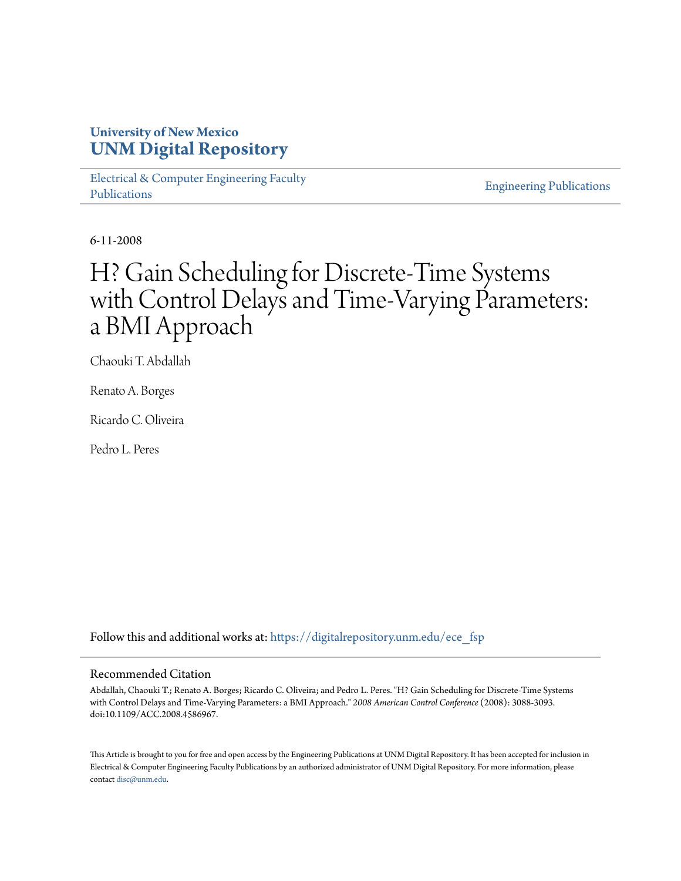# **University of New Mexico [UNM Digital Repository](https://digitalrepository.unm.edu?utm_source=digitalrepository.unm.edu%2Fece_fsp%2F122&utm_medium=PDF&utm_campaign=PDFCoverPages)**

[Electrical & Computer Engineering Faculty](https://digitalrepository.unm.edu/ece_fsp?utm_source=digitalrepository.unm.edu%2Fece_fsp%2F122&utm_medium=PDF&utm_campaign=PDFCoverPages) [Publications](https://digitalrepository.unm.edu/ece_fsp?utm_source=digitalrepository.unm.edu%2Fece_fsp%2F122&utm_medium=PDF&utm_campaign=PDFCoverPages)

[Engineering Publications](https://digitalrepository.unm.edu/eng_fsp?utm_source=digitalrepository.unm.edu%2Fece_fsp%2F122&utm_medium=PDF&utm_campaign=PDFCoverPages)

6-11-2008

# H? Gain Scheduling for Discrete-Time Systems with Control Delays and Time-Varying Parameters: a BMI Approach

Chaouki T. Abdallah

Renato A. Borges

Ricardo C. Oliveira

Pedro L. Peres

Follow this and additional works at: [https://digitalrepository.unm.edu/ece\\_fsp](https://digitalrepository.unm.edu/ece_fsp?utm_source=digitalrepository.unm.edu%2Fece_fsp%2F122&utm_medium=PDF&utm_campaign=PDFCoverPages)

# Recommended Citation

Abdallah, Chaouki T.; Renato A. Borges; Ricardo C. Oliveira; and Pedro L. Peres. "H? Gain Scheduling for Discrete-Time Systems with Control Delays and Time-Varying Parameters: a BMI Approach." *2008 American Control Conference* (2008): 3088-3093. doi:10.1109/ACC.2008.4586967.

This Article is brought to you for free and open access by the Engineering Publications at UNM Digital Repository. It has been accepted for inclusion in Electrical & Computer Engineering Faculty Publications by an authorized administrator of UNM Digital Repository. For more information, please contact [disc@unm.edu.](mailto:disc@unm.edu)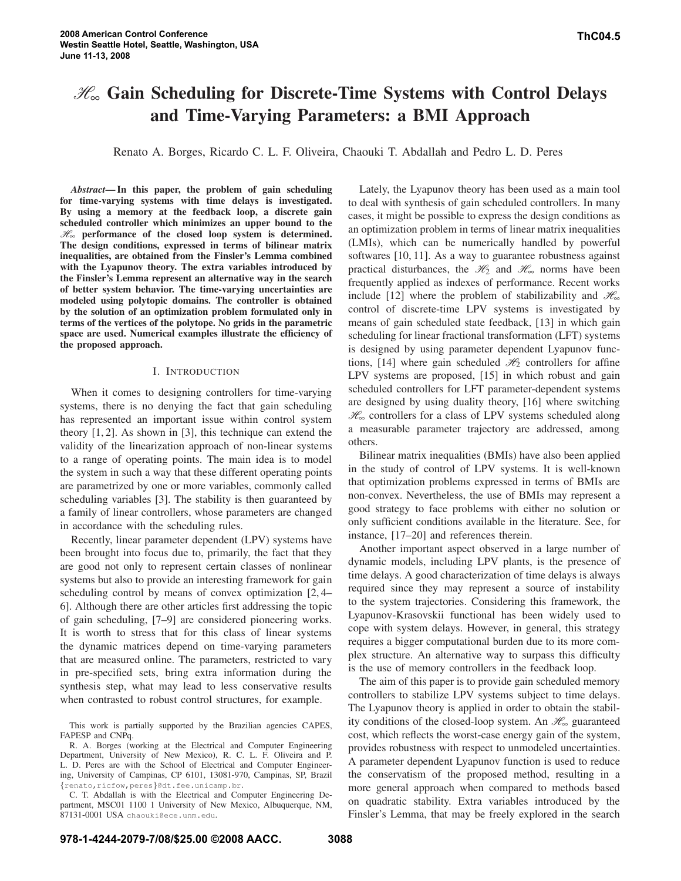# H<sup>∞</sup> **Gain Scheduling for Discrete-Time Systems with Control Delays and Time-Varying Parameters: a BMI Approach**

Renato A. Borges, Ricardo C. L. F. Oliveira, Chaouki T. Abdallah and Pedro L. D. Peres

*Abstract***—In this paper, the problem of gain scheduling for time-varying systems with time delays is investigated. By using a memory at the feedback loop, a discrete gain scheduled controller which minimizes an upper bound to the** H<sup>∞</sup> **performance of the closed loop system is determined. The design conditions, expressed in terms of bilinear matrix inequalities, are obtained from the Finsler's Lemma combined with the Lyapunov theory. The extra variables introduced by the Finsler's Lemma represent an alternative way in the search of better system behavior. The time-varying uncertainties are modeled using polytopic domains. The controller is obtained by the solution of an optimization problem formulated only in terms of the vertices of the polytope. No grids in the parametric space are used. Numerical examples illustrate the efficiency of the proposed approach.**

#### I. INTRODUCTION

When it comes to designing controllers for time-varying systems, there is no denying the fact that gain scheduling has represented an important issue within control system theory [1, 2]. As shown in [3], this technique can extend the validity of the linearization approach of non-linear systems to a range of operating points. The main idea is to model the system in such a way that these different operating points are parametrized by one or more variables, commonly called scheduling variables [3]. The stability is then guaranteed by a family of linear controllers, whose parameters are changed in accordance with the scheduling rules.

Recently, linear parameter dependent (LPV) systems have been brought into focus due to, primarily, the fact that they are good not only to represent certain classes of nonlinear systems but also to provide an interesting framework for gain scheduling control by means of convex optimization [2, 4– 6]. Although there are other articles first addressing the topic of gain scheduling, [7–9] are considered pioneering works. It is worth to stress that for this class of linear systems the dynamic matrices depend on time-varying parameters that are measured online. The parameters, restricted to vary in pre-specified sets, bring extra information during the synthesis step, what may lead to less conservative results when contrasted to robust control structures, for example.

This work is partially supported by the Brazilian agencies CAPES, FAPESP and CNPq.

R. A. Borges (working at the Electrical and Computer Engineering Department, University of New Mexico), R. C. L. F. Oliveira and P. L. D. Peres are with the School of Electrical and Computer Engineering, University of Campinas, CP 6101, 13081-970, Campinas, SP, Brazil {renato,ricfow,peres}@dt.fee.unicamp.br.

C. T. Abdallah is with the Electrical and Computer Engineering Department, MSC01 1100 1 University of New Mexico, Albuquerque, NM, 87131-0001 USA chaouki@ece.unm.edu.

Lately, the Lyapunov theory has been used as a main tool to deal with synthesis of gain scheduled controllers. In many cases, it might be possible to express the design conditions as an optimization problem in terms of linear matrix inequalities (LMIs), which can be numerically handled by powerful softwares [10, 11]. As a way to guarantee robustness against practical disturbances, the  $\mathcal{H}_2$  and  $\mathcal{H}_\infty$  norms have been frequently applied as indexes of performance. Recent works include [12] where the problem of stabilizability and  $\mathcal{H}_{\infty}$ control of discrete-time LPV systems is investigated by means of gain scheduled state feedback, [13] in which gain scheduling for linear fractional transformation (LFT) systems is designed by using parameter dependent Lyapunov functions, [14] where gain scheduled  $\mathcal{H}_2$  controllers for affine LPV systems are proposed, [15] in which robust and gain scheduled controllers for LFT parameter-dependent systems are designed by using duality theory, [16] where switching H<sup>∞</sup> controllers for a class of LPV systems scheduled along a measurable parameter trajectory are addressed, among others.

Bilinear matrix inequalities (BMIs) have also been applied in the study of control of LPV systems. It is well-known that optimization problems expressed in terms of BMIs are non-convex. Nevertheless, the use of BMIs may represent a good strategy to face problems with either no solution or only sufficient conditions available in the literature. See, for instance, [17–20] and references therein.

Another important aspect observed in a large number of dynamic models, including LPV plants, is the presence of time delays. A good characterization of time delays is always required since they may represent a source of instability to the system trajectories. Considering this framework, the Lyapunov-Krasovskii functional has been widely used to cope with system delays. However, in general, this strategy requires a bigger computational burden due to its more complex structure. An alternative way to surpass this difficulty is the use of memory controllers in the feedback loop.

The aim of this paper is to provide gain scheduled memory controllers to stabilize LPV systems subject to time delays. The Lyapunov theory is applied in order to obtain the stability conditions of the closed-loop system. An  $\mathcal{H}_{\infty}$  guaranteed cost, which reflects the worst-case energy gain of the system, provides robustness with respect to unmodeled uncertainties. A parameter dependent Lyapunov function is used to reduce the conservatism of the proposed method, resulting in a more general approach when compared to methods based on quadratic stability. Extra variables introduced by the Finsler's Lemma, that may be freely explored in the search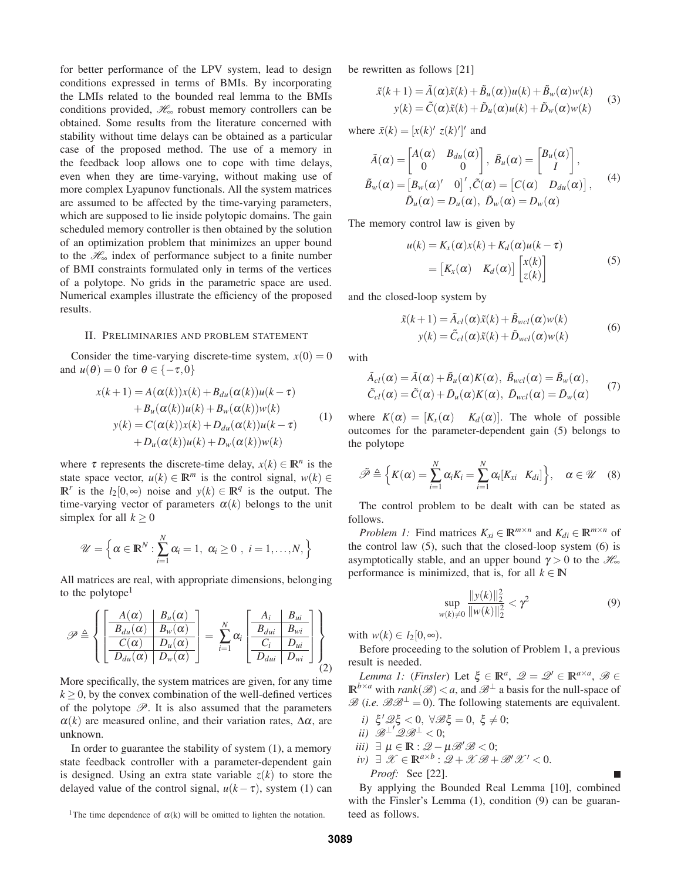for better performance of the LPV system, lead to design conditions expressed in terms of BMIs. By incorporating the LMIs related to the bounded real lemma to the BMIs conditions provided,  $H_{\infty}$  robust memory controllers can be obtained. Some results from the literature concerned with stability without time delays can be obtained as a particular case of the proposed method. The use of a memory in the feedback loop allows one to cope with time delays, even when they are time-varying, without making use of more complex Lyapunov functionals. All the system matrices are assumed to be affected by the time-varying parameters, which are supposed to lie inside polytopic domains. The gain scheduled memory controller is then obtained by the solution of an optimization problem that minimizes an upper bound to the  $\mathcal{H}_{\infty}$  index of performance subject to a finite number of BMI constraints formulated only in terms of the vertices of a polytope. No grids in the parametric space are used. Numerical examples illustrate the efficiency of the proposed results.

## II. PRELIMINARIES AND PROBLEM STATEMENT

Consider the time-varying discrete-time system,  $x(0) = 0$ and  $u(\theta) = 0$  for  $\theta \in \{-\tau, 0\}$ 

$$
x(k+1) = A(\alpha(k))x(k) + B_{du}(\alpha(k))u(k-\tau)
$$
  
+ 
$$
B_u(\alpha(k))u(k) + B_w(\alpha(k))w(k)
$$
  

$$
y(k) = C(\alpha(k))x(k) + D_{du}(\alpha(k))u(k-\tau)
$$
  
+ 
$$
D_u(\alpha(k))u(k) + D_w(\alpha(k))w(k)
$$
 (1)

where  $\tau$  represents the discrete-time delay,  $x(k) \in \mathbb{R}^n$  is the state space vector,  $u(k) \in \mathbb{R}^m$  is the control signal,  $w(k) \in$ **IR**<sup>*r*</sup> is the *l*<sub>2</sub>[0,∞) noise and *y*(*k*) ∈ **IR**<sup>*q*</sup> is the output. The time-varying vector of parameters  $\alpha(k)$  belongs to the unit simplex for all  $k \geq 0$ 

$$
\mathscr{U} = \left\{ \alpha \in \mathbb{R}^N : \sum_{i=1}^N \alpha_i = 1, \ \alpha_i \geq 0 \ , \ i = 1, \ldots, N, \right\}
$$

All matrices are real, with appropriate dimensions, belonging to the polytope<sup>1</sup>

$$
\mathscr{P} \triangleq \left\{ \left[ \begin{array}{c|c} A(\alpha) & B_u(\alpha) \\ \hline B_{du}(\alpha) & B_w(\alpha) \\ \hline C(\alpha) & D_u(\alpha) \\ \hline D_{du}(\alpha) & D_w(\alpha) \end{array} \right] = \sum_{i=1}^N \alpha_i \left[ \begin{array}{c|c} A_i & B_{ui} \\ \hline B_{dui} & B_{wi} \\ \hline C_i & D_{ui} \\ \hline D_{dui} & D_{wi} \end{array} \right] \right\}
$$
(2)

More specifically, the system matrices are given, for any time  $k > 0$ , by the convex combination of the well-defined vertices of the polytope  $\mathscr{P}$ . It is also assumed that the parameters  $\alpha(k)$  are measured online, and their variation rates,  $\Delta \alpha$ , are unknown.

In order to guarantee the stability of system (1), a memory state feedback controller with a parameter-dependent gain is designed. Using an extra state variable  $z(k)$  to store the delayed value of the control signal,  $u(k-\tau)$ , system (1) can be rewritten as follows [21]

$$
\tilde{x}(k+1) = \tilde{A}(\alpha)\tilde{x}(k) + \tilde{B}_u(\alpha))u(k) + \tilde{B}_w(\alpha)w(k)
$$
  

$$
y(k) = \tilde{C}(\alpha)\tilde{x}(k) + \tilde{D}_u(\alpha)u(k) + \tilde{D}_w(\alpha)w(k)
$$
 (3)

where  $\tilde{x}(k) = [x(k)^\prime \ z(k)^\prime]^\prime$  and

$$
\tilde{A}(\alpha) = \begin{bmatrix} A(\alpha) & B_{du}(\alpha) \\ 0 & 0 \end{bmatrix}, \ \tilde{B}_u(\alpha) = \begin{bmatrix} B_u(\alpha) \\ I \end{bmatrix}, \n\tilde{B}_w(\alpha) = \begin{bmatrix} B_w(\alpha)' & 0 \end{bmatrix}', \ \tilde{C}(\alpha) = \begin{bmatrix} C(\alpha) & D_{du}(\alpha) \end{bmatrix}, \qquad (4) \n\tilde{D}_u(\alpha) = D_u(\alpha), \ \tilde{D}_w(\alpha) = D_w(\alpha)
$$

The memory control law is given by

$$
u(k) = K_x(\alpha)x(k) + K_d(\alpha)u(k - \tau)
$$
  
=  $[K_x(\alpha) \quad K_d(\alpha)] \begin{bmatrix} x(k) \\ z(k) \end{bmatrix}$  (5)

and the closed-loop system by

$$
\tilde{x}(k+1) = \tilde{A}_{cl}(\alpha)\tilde{x}(k) + \tilde{B}_{wcl}(\alpha)w(k)
$$
  
\n
$$
y(k) = \tilde{C}_{cl}(\alpha)\tilde{x}(k) + \tilde{D}_{wcl}(\alpha)w(k)
$$
 (6)

with

$$
\tilde{A}_{cl}(\alpha) = \tilde{A}(\alpha) + \tilde{B}_u(\alpha)K(\alpha), \ \tilde{B}_{wcl}(\alpha) = \tilde{B}_w(\alpha), \n\tilde{C}_{cl}(\alpha) = \tilde{C}(\alpha) + \tilde{D}_u(\alpha)K(\alpha), \ \tilde{D}_{wcl}(\alpha) = \tilde{D}_w(\alpha)
$$
\n(7)

where  $K(\alpha) = [K_{\alpha}(\alpha) \quad K_d(\alpha)]$ . The whole of possible outcomes for the parameter-dependent gain (5) belongs to the polytope

$$
\tilde{\mathscr{P}} \triangleq \Big\{ K(\alpha) = \sum_{i=1}^N \alpha_i K_i = \sum_{i=1}^N \alpha_i [K_{xi} \quad K_{di}] \Big\}, \quad \alpha \in \mathscr{U} \quad (8)
$$

The control problem to be dealt with can be stated as follows.

*Problem 1:* Find matrices  $K_{xi} \in \mathbb{R}^{m \times n}$  and  $K_{di} \in \mathbb{R}^{m \times n}$  of the control law (5), such that the closed-loop system (6) is asymptotically stable, and an upper bound  $\gamma > 0$  to the  $\mathcal{H}_{\infty}$ performance is minimized, that is, for all  $k \in \mathbb{N}$ 

$$
\sup_{w(k)\neq 0} \frac{\|y(k)\|_2^2}{\|w(k)\|_2^2} < \gamma^2
$$
\n(9)

with  $w(k) \in l_2[0, \infty)$ .

Before proceeding to the solution of Problem 1, a previous result is needed.

*Lemma 1:* (*Finsler*) Let  $\xi \in \mathbb{R}^a$ ,  $\mathcal{Q} = \mathcal{Q}' \in \mathbb{R}^{a \times a}$ ,  $\mathcal{B} \in$  $\mathbb{R}^{b \times a}$  with *rank*( $\mathscr{B}) < a$ , and  $\mathscr{B}^{\perp}$  a basis for the null-space of  $\mathscr{B}$  (*i.e.*  $\mathscr{B}\mathscr{B}^{\perp}=0$ ). The following statements are equivalent.

- *i*)  $\xi' \mathscr{Q} \xi < 0$ ,  $\forall \mathscr{B} \xi = 0$ ,  $\xi \neq 0$ ; *ii*)  $\mathscr{B}^{\perp}$ <sup>'</sup>  $\mathscr{Q}\mathscr{B}^{\perp}$  < 0;
- *iii*)  $\exists \mu \in \mathbb{R}: \mathcal{Q} \mu \mathcal{B}' \mathcal{B} < 0;$
- $iv) \exists \mathscr{X} \in \mathbb{R}^{a \times b} : \mathscr{Q} + \mathscr{X} \mathscr{B} + \mathscr{B}' \mathscr{X}' < 0.$ *Proof:* See [22].

By applying the Bounded Real Lemma [10], combined with the Finsler's Lemma (1), condition (9) can be guaranteed as follows.

<sup>&</sup>lt;sup>1</sup>The time dependence of  $\alpha(k)$  will be omitted to lighten the notation.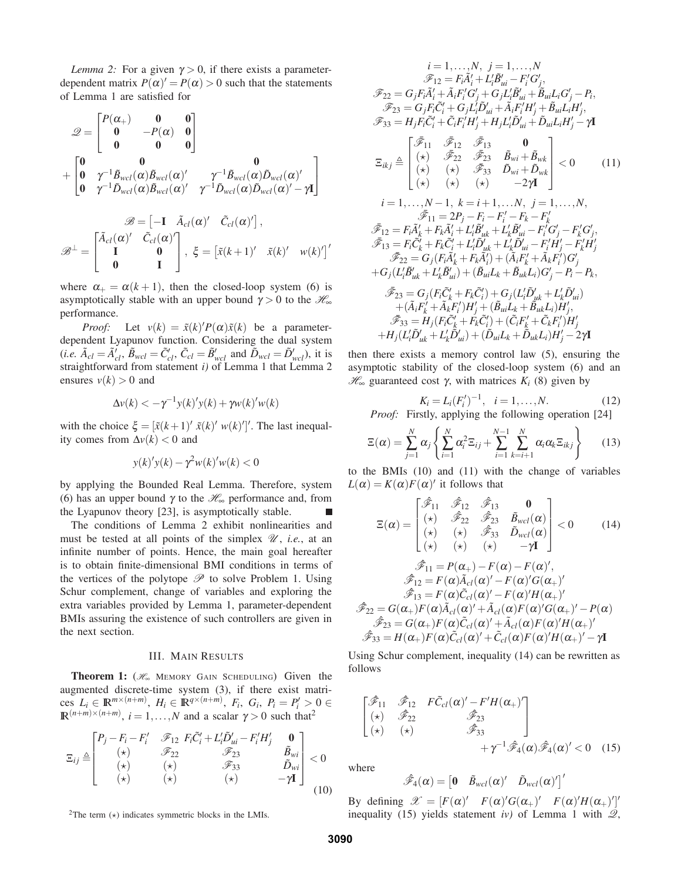*Lemma 2:* For a given  $\gamma > 0$ , if there exists a parameterdependent matrix  $P(\alpha)' = P(\alpha) > 0$  such that the statements of Lemma 1 are satisfied for

$$
\mathcal{Q} = \begin{bmatrix} P(\alpha_{+}) & 0 & 0 \\ 0 & -P(\alpha) & 0 \\ 0 & 0 & 0 \end{bmatrix}
$$
  
+ 
$$
\begin{bmatrix} 0 & 0 & 0 \\ 0 & \gamma^{-1} \tilde{B}_{vel}(\alpha) \tilde{B}_{vel}(\alpha)' & \gamma^{-1} \tilde{B}_{vel}(\alpha) \tilde{D}_{vel}(\alpha)'}{1 - \gamma^{-1} \tilde{D}_{vel}(\alpha) \tilde{B}_{vel}(\alpha)'} \\ 0 & \gamma^{-1} \tilde{D}_{vel}(\alpha) \tilde{B}_{vel}(\alpha)' & \gamma^{-1} \tilde{D}_{vel}(\alpha) \tilde{D}_{vel}(\alpha)'-\gamma I \end{bmatrix}
$$
  

$$
\mathcal{B}^{\perp} = \begin{bmatrix} \tilde{A}_{cl}(\alpha)' & \tilde{C}_{cl}(\alpha)' \\ 0 & I \end{bmatrix}, \xi = \begin{bmatrix} \tilde{x}(k+1)' & \tilde{x}(k)' & w(k)'\end{bmatrix}'
$$

where  $\alpha_+ = \alpha(k+1)$ , then the closed-loop system (6) is asymptotically stable with an upper bound  $\gamma > 0$  to the  $\mathcal{H}_{\infty}$ performance.

*Proof:* Let  $v(k) = \tilde{x}(k)'P(\alpha)\tilde{x}(k)$  be a parameterdependent Lyapunov function. Considering the dual system  $(i.e. \tilde{A}_{cl} = \tilde{A}'_{cl}, \tilde{B}_{wcl} = \tilde{C}'_{cl}, \tilde{C}_{cl} = \tilde{B}'_{wcl}$  and  $\tilde{D}_{wcl} = \tilde{D}'_{wcl}$ , it is straightforward from statement *i)* of Lemma 1 that Lemma 2 ensures  $v(k) > 0$  and

$$
\Delta v(k) < -\gamma^{-1} y(k)' y(k) + \gamma w(k)' w(k)
$$

with the choice  $\xi = [\tilde{x}(k+1)^\prime \ \tilde{x}(k)^\prime \ w(k)^\prime]^\prime$ . The last inequality comes from  $\Delta v(k) < 0$  and

$$
y(k)'y(k) - \gamma^2 w(k)'w(k) < 0
$$

by applying the Bounded Real Lemma. Therefore, system (6) has an upper bound  $\gamma$  to the  $\mathcal{H}_{\infty}$  performance and, from the Lyapunov theory [23], is asymptotically stable.

The conditions of Lemma 2 exhibit nonlinearities and must be tested at all points of the simplex  $\mathcal{U}$ , *i.e.*, at an infinite number of points. Hence, the main goal hereafter is to obtain finite-dimensional BMI conditions in terms of the vertices of the polytope  $\mathscr P$  to solve Problem 1. Using Schur complement, change of variables and exploring the extra variables provided by Lemma 1, parameter-dependent BMIs assuring the existence of such controllers are given in the next section.

## III. MAIN RESULTS

**Theorem 1:** ( $H_{∞}$  MEMORY GAIN SCHEDULING) Given the augmented discrete-time system (3), if there exist matri- $\cos L_i \in \mathbb{R}^{m \times (n+m)}$ ,  $H_i \in \mathbb{R}^{q \times (n+m)}$ ,  $F_i$ ,  $G_i$ ,  $P_i = P'_i > 0$  $\mathbb{R}^{(n+m)\times(n+m)}$ ,  $i=1,\ldots,N$  and a scalar  $\gamma>0$  such that<sup>2</sup>

$$
\Xi_{ij} \triangleq \begin{bmatrix} P_j - F_i - F'_i & \mathscr{F}_{12} & F_i \tilde{C}'_i + L'_i \tilde{D}'_{ui} - F'_i H'_j & \mathbf{0} \\ (\star) & \mathscr{F}_{22} & \mathscr{F}_{23} & \tilde{B}_{wi} \\ (\star) & (\star) & \mathscr{F}_{33} & \tilde{D}_{wi} \\ (\star) & (\star) & (\star) & -\gamma \mathbf{I} \end{bmatrix} < 0
$$
(10)

<sup>2</sup>The term  $(\star)$  indicates symmetric blocks in the LMIs.

$$
i = 1,..., N, \quad j = 1,..., N
$$

$$
\mathcal{F}_{12} = F_i \tilde{A}'_i + L'_i \tilde{B}'_{ui} - F'_i G'_j,
$$

$$
\mathcal{F}_{22} = G_j F_i \tilde{A}'_i + \tilde{A}_i F'_i G'_j + G_j L'_i \tilde{B}'_{ui} + \tilde{B}_{ui} L_i G'_j - P_i,
$$

$$
\mathcal{F}_{23} = G_j F_i \tilde{C}'_i + G_j L'_i \tilde{D}'_{ui} + \tilde{A}_i F'_i H'_j + \tilde{B}_{ui} L_i H'_j,
$$

$$
\mathcal{F}_{33} = H_j F_i \tilde{C}'_i + \tilde{C}_i F'_i H'_j + H_j L'_i \tilde{D}'_{ui} + \tilde{D}_{ui} L_i H'_j - \gamma \mathbf{I}
$$

$$
\Sigma_{ikj} \triangleq \begin{bmatrix} \star & \tilde{\mathcal{F}}_{12} & \tilde{\mathcal{F}}_{13} & \mathbf{0} \\ (\star) & \tilde{\mathcal{F}}_{22} & \tilde{\mathcal{F}}_{23} & \tilde{B}_{wi} + \tilde{B}_{wk} \\ (\star) & (\star) & -2\gamma \mathbf{I} \end{bmatrix} \times \mathbf{I}
$$

$$
i = 1,..., N - 1, \quad k = i + 1,..., N, \quad j = 1,..., N,
$$

$$
\tilde{\mathcal{F}}_{11} = 2P_j - F_i - F'_i - F_k - F'_k
$$

$$
\tilde{\mathcal{F}}_{12} = F_i \tilde{A}'_k + F_k \tilde{A}'_i + L'_i \tilde{B}'_{uk} + L'_k \tilde{B}'_{ui} - F'_i G'_j - F'_k G'_j,
$$

$$
\tilde{\mathcal{F}}_{13} = F_i \tilde{C}'_k + F_k \tilde{C}'_i + L'_i \tilde{D}'_{uk} + L'_k \tilde{D}'_{ui} - F'_i H'_j - F'_k H'_j
$$

$$
\tilde{\mathcal{F}}_{22} = G_j (F_i \tilde{A}'_k + F_k \tilde{A}'_i) + (\tilde{A}_i F'_k + \tilde{A}_k F'_i) G'_j
$$

$$
+ G_j (
$$

then there exists a memory control law (5), ensuring the asymptotic stability of the closed-loop system (6) and an H<sup>∞</sup> guaranteed cost <sup>γ</sup>, with matrices *K<sup>i</sup>* (8) given by

$$
K_i = L_i (F'_i)^{-1}, \quad i = 1, \dots, N. \tag{12}
$$

*Proof:* Firstly, applying the following operation [24]

$$
\Xi(\alpha) = \sum_{j=1}^{N} \alpha_j \left\{ \sum_{i=1}^{N} \alpha_i^2 \Xi_{ij} + \sum_{i=1}^{N-1} \sum_{k=i+1}^{N} \alpha_i \alpha_k \Xi_{ikj} \right\}
$$
(13)

to the BMIs (10) and (11) with the change of variables  $L(\alpha) = K(\alpha)F(\alpha)'$  it follows that

$$
\Xi(\alpha) = \begin{bmatrix}\n\hat{\mathscr{F}}_{11} & \hat{\mathscr{F}}_{12} & \hat{\mathscr{F}}_{13} & \mathbf{0} \\
(\star) & \hat{\mathscr{F}}_{22} & \hat{\mathscr{F}}_{23} & \tilde{B}_{\text{wcl}}(\alpha) \\
(\star) & (\star) & (\star) & \hat{\mathscr{F}}_{33} & \tilde{D}_{\text{wcl}}(\alpha)\n\end{bmatrix} < 0
$$
\n
$$
\hat{\mathscr{F}}_{11} = P(\alpha_+) - F(\alpha) - F(\alpha)',
$$
\n
$$
\hat{\mathscr{F}}_{12} = F(\alpha)\tilde{A}_{cl}(\alpha)' - F(\alpha)'G(\alpha_+)'
$$
\n
$$
\hat{\mathscr{F}}_{13} = F(\alpha)\tilde{C}_{cl}(\alpha)' - F(\alpha)'H(\alpha_+)'
$$
\n
$$
\hat{\mathscr{F}}_{22} = G(\alpha_+)F(\alpha)\tilde{A}_{cl}(\alpha)' + \tilde{A}_{cl}(\alpha)F(\alpha)'G(\alpha_+)' - P(\alpha)
$$
\n
$$
\hat{\mathscr{F}}_{23} = G(\alpha_+)F(\alpha)\tilde{C}_{cl}(\alpha)' + \tilde{A}_{cl}(\alpha)F(\alpha)'H(\alpha_+)'
$$
\n
$$
\hat{\mathscr{F}}_{33} = H(\alpha_+)F(\alpha)\tilde{C}_{cl}(\alpha)' + \tilde{C}_{cl}(\alpha)F(\alpha)'H(\alpha_+)' - \gamma\mathbf{I}
$$

Using Schur complement, inequality (14) can be rewritten as follows

$$
\begin{bmatrix}\n\hat{\mathscr{F}}_{11} & \hat{\mathscr{F}}_{12} & F\tilde{C}_{cl}(\alpha)' - F'H(\alpha_+)'\n(\star) & \hat{\mathscr{F}}_{22} & \hat{\mathscr{F}}_{23}\n(\star) & (\star) & \hat{\mathscr{F}}_{33} & +\gamma^{-1}\hat{\mathscr{F}}_4(\alpha)\hat{\mathscr{F}}_4(\alpha)' < 0 \quad (15)\n\end{bmatrix}
$$

where

Fˆ

$$
\hat{\mathscr{F}}_4(\alpha) = \begin{bmatrix} 0 & \tilde{B}_{\text{wcl}}(\alpha)' & \tilde{D}_{\text{wcl}}(\alpha)'\end{bmatrix}'
$$

By defining  $\mathscr{X} = [F(\alpha)' \quad F(\alpha)'G(\alpha_+)' \quad F(\alpha)'H(\alpha_+)']$ inequality (15) yields statement *iv*) of Lemma 1 with  $\mathcal{Q}$ ,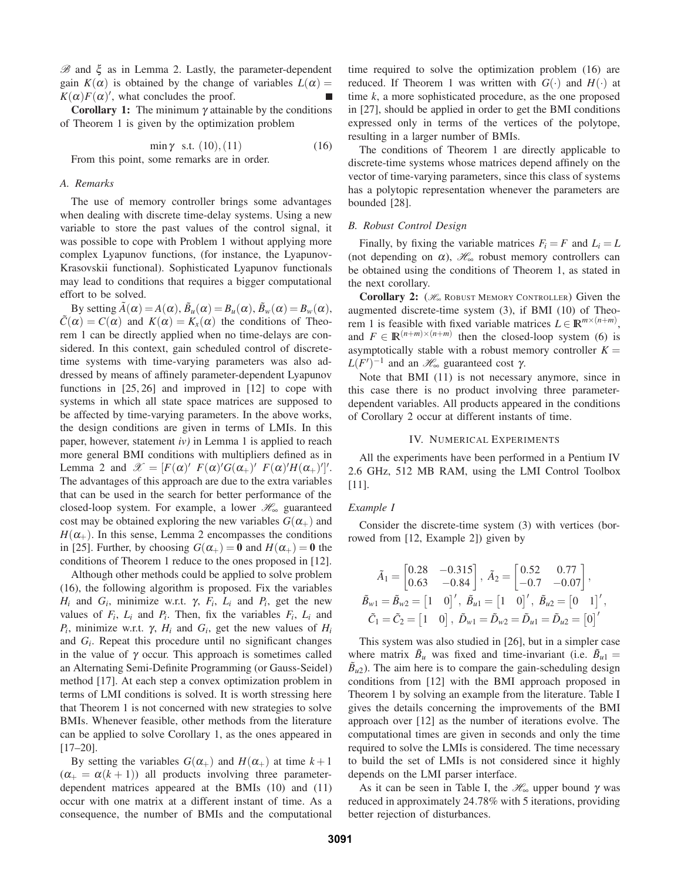$\mathscr{B}$  and  $\xi$  as in Lemma 2. Lastly, the parameter-dependent gain  $K(\alpha)$  is obtained by the change of variables  $L(\alpha) =$  $K(\alpha)F(\alpha)'$ , what concludes the proof.

**Corollary 1:** The minimum  $\gamma$  attainable by the conditions of Theorem 1 is given by the optimization problem

min  $\gamma$  s.t.  $(10), (11)$  (16) From this point, some remarks are in order.

# *A. Remarks*

The use of memory controller brings some advantages when dealing with discrete time-delay systems. Using a new variable to store the past values of the control signal, it was possible to cope with Problem 1 without applying more complex Lyapunov functions, (for instance, the Lyapunov-Krasovskii functional). Sophisticated Lyapunov functionals may lead to conditions that requires a bigger computational effort to be solved.

By setting  $\tilde{A}(\alpha) = A(\alpha), \tilde{B}_u(\alpha) = B_u(\alpha), \tilde{B}_w(\alpha) = B_w(\alpha),$  $\tilde{C}(\alpha) = C(\alpha)$  and  $K(\alpha) = K_{\alpha}(\alpha)$  the conditions of Theorem 1 can be directly applied when no time-delays are considered. In this context, gain scheduled control of discretetime systems with time-varying parameters was also addressed by means of affinely parameter-dependent Lyapunov functions in [25, 26] and improved in [12] to cope with systems in which all state space matrices are supposed to be affected by time-varying parameters. In the above works, the design conditions are given in terms of LMIs. In this paper, however, statement *iv)* in Lemma 1 is applied to reach more general BMI conditions with multipliers defined as in Lemma 2 and  $\mathscr{X} = [F(\alpha)' \ F(\alpha)' G(\alpha_+)' \ F(\alpha)' H(\alpha_+)']'.$ The advantages of this approach are due to the extra variables that can be used in the search for better performance of the closed-loop system. For example, a lower  $\mathcal{H}_{\infty}$  guaranteed cost may be obtained exploring the new variables  $G(\alpha_+)$  and  $H(\alpha_+)$ . In this sense, Lemma 2 encompasses the conditions in [25]. Further, by choosing  $G(\alpha_+) = \mathbf{0}$  and  $H(\alpha_+) = \mathbf{0}$  the conditions of Theorem 1 reduce to the ones proposed in [12].

Although other methods could be applied to solve problem (16), the following algorithm is proposed. Fix the variables *H*<sup>*i*</sup> and *G*<sup>*i*</sup>, minimize w.r.t. γ, *F*<sub>*i*</sub>, *L*<sub>*i*</sub> and *P*<sub>*i*</sub>, get the new values of  $F_i$ ,  $L_i$  and  $P_i$ . Then, fix the variables  $F_i$ ,  $L_i$  and *P*<sup>*i*</sup>, minimize w.r.t.  $\gamma$ , *H*<sup>*i*</sup> and *G*<sup>*i*</sup>, get the new values of *H*<sup>*i*</sup> and *G<sup>i</sup>* . Repeat this procedure until no significant changes in the value of  $\gamma$  occur. This approach is sometimes called an Alternating Semi-Definite Programming (or Gauss-Seidel) method [17]. At each step a convex optimization problem in terms of LMI conditions is solved. It is worth stressing here that Theorem 1 is not concerned with new strategies to solve BMIs. Whenever feasible, other methods from the literature can be applied to solve Corollary 1, as the ones appeared in [17–20].

By setting the variables  $G(\alpha_+)$  and  $H(\alpha_+)$  at time  $k+1$  $(\alpha_{+} = \alpha(k+1))$  all products involving three parameterdependent matrices appeared at the BMIs (10) and (11) occur with one matrix at a different instant of time. As a consequence, the number of BMIs and the computational time required to solve the optimization problem (16) are reduced. If Theorem 1 was written with  $G(\cdot)$  and  $H(\cdot)$  at time *k*, a more sophisticated procedure, as the one proposed in [27], should be applied in order to get the BMI conditions expressed only in terms of the vertices of the polytope, resulting in a larger number of BMIs.

The conditions of Theorem 1 are directly applicable to discrete-time systems whose matrices depend affinely on the vector of time-varying parameters, since this class of systems has a polytopic representation whenever the parameters are bounded [28].

# *B. Robust Control Design*

Finally, by fixing the variable matrices  $F_i = F$  and  $L_i = L$ (not depending on  $\alpha$ ),  $\mathcal{H}_{\infty}$  robust memory controllers can be obtained using the conditions of Theorem 1, as stated in the next corollary.

Corollary 2: (**H**<sub>∞</sub> ROBUST MEMORY CONTROLLER) Given the augmented discrete-time system (3), if BMI (10) of Theorem 1 is feasible with fixed variable matrices  $L \in \mathbb{R}^{m \times (n+m)}$ , and  $F \in \mathbb{R}^{(n+m)\times(n+m)}$  then the closed-loop system (6) is asymptotically stable with a robust memory controller  $K =$  $L(F')^{-1}$  and an  $\mathcal{H}_{\infty}$  guaranteed cost γ.

Note that BMI (11) is not necessary anymore, since in this case there is no product involving three parameterdependent variables. All products appeared in the conditions of Corollary 2 occur at different instants of time.

#### IV. NUMERICAL EXPERIMENTS

All the experiments have been performed in a Pentium IV 2.6 GHz, 512 MB RAM, using the LMI Control Toolbox [11].

### *Example I*

Consider the discrete-time system (3) with vertices (borrowed from [12, Example 2]) given by

$$
\tilde{A}_1 = \begin{bmatrix} 0.28 & -0.315 \\ 0.63 & -0.84 \end{bmatrix}, \ \tilde{A}_2 = \begin{bmatrix} 0.52 & 0.77 \\ -0.7 & -0.07 \end{bmatrix}, \n\tilde{B}_{w1} = \tilde{B}_{w2} = \begin{bmatrix} 1 & 0 \end{bmatrix}', \ \tilde{B}_{u1} = \begin{bmatrix} 1 & 0 \end{bmatrix}', \ \tilde{B}_{u2} = \begin{bmatrix} 0 & 1 \end{bmatrix}', \n\tilde{C}_1 = \tilde{C}_2 = \begin{bmatrix} 1 & 0 \end{bmatrix}, \ \tilde{D}_{w1} = \tilde{D}_{w2} = \tilde{D}_{u1} = \tilde{D}_{u2} = \begin{bmatrix} 0 \end{bmatrix}'
$$

This system was also studied in [26], but in a simpler case where matrix  $\tilde{B}_u$  was fixed and time-invariant (i.e.  $\tilde{B}_{u1} =$  $\tilde{B}_{u2}$ ). The aim here is to compare the gain-scheduling design conditions from [12] with the BMI approach proposed in Theorem 1 by solving an example from the literature. Table I gives the details concerning the improvements of the BMI approach over [12] as the number of iterations evolve. The computational times are given in seconds and only the time required to solve the LMIs is considered. The time necessary to build the set of LMIs is not considered since it highly depends on the LMI parser interface.

As it can be seen in Table I, the  $\mathcal{H}_{\infty}$  upper bound  $\gamma$  was reduced in approximately 24.78% with 5 iterations, providing better rejection of disturbances.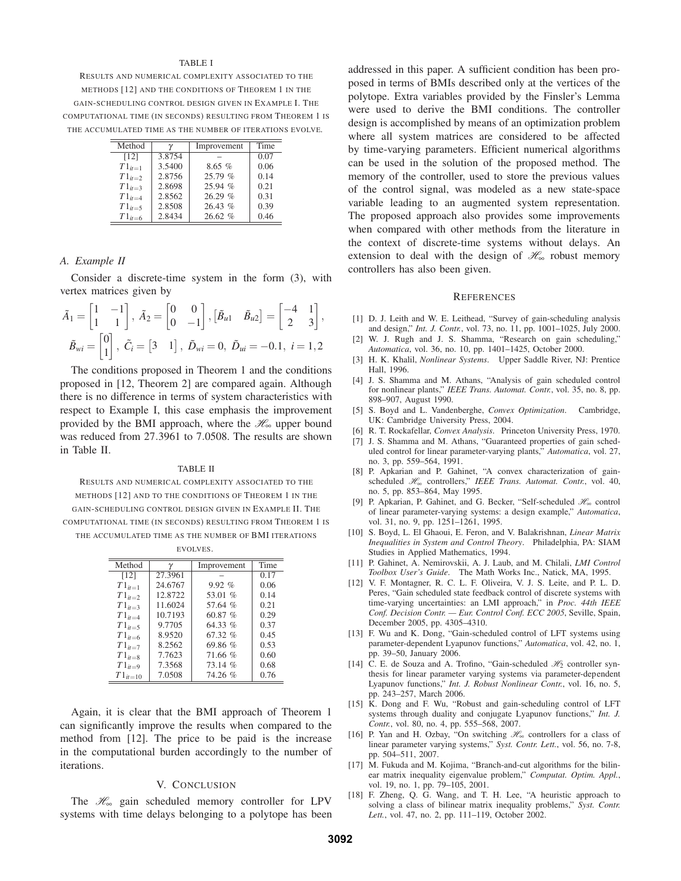#### TABLE I

RESULTS AND NUMERICAL COMPLEXITY ASSOCIATED TO THE METHODS [12] AND THE CONDITIONS OF THEOREM 1 IN THE GAIN-SCHEDULING CONTROL DESIGN GIVEN IN EXAMPLE I. THE COMPUTATIONAL TIME (IN SECONDS) RESULTING FROM THEOREM 1 IS THE ACCUMULATED TIME AS THE NUMBER OF ITERATIONS EVOLVE.

| Method      | ν      | Improvement | Time |
|-------------|--------|-------------|------|
| [12]        | 3.8754 |             | 0.07 |
| $T1_{it=1}$ | 3.5400 | 8.65%       | 0.06 |
| $T1_{it=2}$ | 2.8756 | 25.79%      | 0.14 |
| $T1_{it=3}$ | 2.8698 | 25.94 %     | 0.21 |
| $T1_{it=4}$ | 2.8562 | 26.29%      | 0.31 |
| $T1_{it=5}$ | 2.8508 | 26.43 %     | 0.39 |
| $T1_{it=6}$ | 2.8434 | 26.62 %     | 0.46 |

#### *A. Example II*

Consider a discrete-time system in the form (3), with vertex matrices given by

$$
\tilde{A}_1 = \begin{bmatrix} 1 & -1 \\ 1 & 1 \end{bmatrix}, \ \tilde{A}_2 = \begin{bmatrix} 0 & 0 \\ 0 & -1 \end{bmatrix}, \begin{bmatrix} \tilde{B}_{u1} & \tilde{B}_{u2} \end{bmatrix} = \begin{bmatrix} -4 & 1 \\ 2 & 3 \end{bmatrix},
$$

$$
\tilde{B}_{wi} = \begin{bmatrix} 0 \\ 1 \end{bmatrix}, \ \tilde{C}_i = \begin{bmatrix} 3 & 1 \end{bmatrix}, \ \tilde{D}_{wi} = 0, \ \tilde{D}_{ui} = -0.1, \ i = 1, 2
$$

The conditions proposed in Theorem 1 and the conditions proposed in [12, Theorem 2] are compared again. Although there is no difference in terms of system characteristics with respect to Example I, this case emphasis the improvement provided by the BMI approach, where the  $\mathcal{H}_{\infty}$  upper bound was reduced from 27.3961 to 7.0508. The results are shown in Table II.

#### TABLE II

RESULTS AND NUMERICAL COMPLEXITY ASSOCIATED TO THE METHODS [12] AND TO THE CONDITIONS OF THEOREM 1 IN THE GAIN-SCHEDULING CONTROL DESIGN GIVEN IN EXAMPLE II. THE COMPUTATIONAL TIME (IN SECONDS) RESULTING FROM THEOREM 1 IS THE ACCUMULATED TIME AS THE NUMBER OF BMI ITERATIONS

EVOLVES.

| Method       | γ       | Improvement | Time |
|--------------|---------|-------------|------|
| [12]         | 27.3961 |             | 0.17 |
| $T1_{it=1}$  | 24.6767 | 9.92%       | 0.06 |
| $T1_{it=2}$  | 12.8722 | 53.01 %     | 0.14 |
| $T1_{it=3}$  | 11.6024 | 57.64 %     | 0.21 |
| $T1_{it=4}$  | 10.7193 | 60.87%      | 0.29 |
| $T1_{it=5}$  | 9.7705  | $64.33\%$   | 0.37 |
| $T1_{it=6}$  | 8.9520  | 67.32%      | 0.45 |
| $T1_{it=7}$  | 8.2562  | 69.86 %     | 0.53 |
| $T1_{it=8}$  | 7.7623  | 71.66 %     | 0.60 |
| $T1_{it=9}$  | 7.3568  | 73.14 %     | 0.68 |
| $T1_{it=10}$ | 7.0508  | 74.26 %     | 0.76 |

Again, it is clear that the BMI approach of Theorem 1 can significantly improve the results when compared to the method from [12]. The price to be paid is the increase in the computational burden accordingly to the number of iterations.

### V. CONCLUSION

The  $\mathcal{H}_{\infty}$  gain scheduled memory controller for LPV systems with time delays belonging to a polytope has been addressed in this paper. A sufficient condition has been proposed in terms of BMIs described only at the vertices of the polytope. Extra variables provided by the Finsler's Lemma were used to derive the BMI conditions. The controller design is accomplished by means of an optimization problem where all system matrices are considered to be affected by time-varying parameters. Efficient numerical algorithms can be used in the solution of the proposed method. The memory of the controller, used to store the previous values of the control signal, was modeled as a new state-space variable leading to an augmented system representation. The proposed approach also provides some improvements when compared with other methods from the literature in the context of discrete-time systems without delays. An extension to deal with the design of  $\mathcal{H}_{\infty}$  robust memory controllers has also been given.

#### **REFERENCES**

- [1] D. J. Leith and W. E. Leithead, "Survey of gain-scheduling analysis and design," *Int. J. Contr.*, vol. 73, no. 11, pp. 1001–1025, July 2000.
- [2] W. J. Rugh and J. S. Shamma, "Research on gain scheduling," *Automatica*, vol. 36, no. 10, pp. 1401–1425, October 2000.
- [3] H. K. Khalil, *Nonlinear Systems*. Upper Saddle River, NJ: Prentice Hall, 1996.
- [4] J. S. Shamma and M. Athans, "Analysis of gain scheduled control for nonlinear plants," *IEEE Trans. Automat. Contr.*, vol. 35, no. 8, pp. 898–907, August 1990.
- [5] S. Boyd and L. Vandenberghe, *Convex Optimization*. Cambridge, UK: Cambridge University Press, 2004.
- [6] R. T. Rockafellar, *Convex Analysis*. Princeton University Press, 1970.
- [7] J. S. Shamma and M. Athans, "Guaranteed properties of gain scheduled control for linear parameter-varying plants," *Automatica*, vol. 27, no. 3, pp. 559–564, 1991.
- [8] P. Apkarian and P. Gahinet, "A convex characterization of gainscheduled  $H_∞$  controllers," *IEEE Trans. Automat. Contr.*, vol. 40, no. 5, pp. 853–864, May 1995.
- [9] P. Apkarian, P. Gahinet, and G. Becker, "Self-scheduled  $\mathcal{H}_{\infty}$  control of linear parameter-varying systems: a design example," *Automatica*, vol. 31, no. 9, pp. 1251–1261, 1995.
- [10] S. Boyd, L. El Ghaoui, E. Feron, and V. Balakrishnan, *Linear Matrix Inequalities in System and Control Theory*. Philadelphia, PA: SIAM Studies in Applied Mathematics, 1994.
- [11] P. Gahinet, A. Nemirovskii, A. J. Laub, and M. Chilali, *LMI Control Toolbox User's Guide*. The Math Works Inc., Natick, MA, 1995.
- [12] V. F. Montagner, R. C. L. F. Oliveira, V. J. S. Leite, and P. L. D. Peres, "Gain scheduled state feedback control of discrete systems with time-varying uncertainties: an LMI approach," in *Proc. 44th IEEE Conf. Decision Contr. — Eur. Control Conf. ECC 2005*, Seville, Spain, December 2005, pp. 4305–4310.
- [13] F. Wu and K. Dong, "Gain-scheduled control of LFT systems using parameter-dependent Lyapunov functions," *Automatica*, vol. 42, no. 1, pp. 39–50, January 2006.
- [14] C. E. de Souza and A. Trofino, "Gain-scheduled  $\mathcal{H}_2$  controller synthesis for linear parameter varying systems via parameter-dependent Lyapunov functions," *Int. J. Robust Nonlinear Contr.*, vol. 16, no. 5, pp. 243–257, March 2006.
- [15] K. Dong and F. Wu, "Robust and gain-scheduling control of LFT systems through duality and conjugate Lyapunov functions," *Int. J. Contr.*, vol. 80, no. 4, pp. 555–568, 2007.
- [16] P. Yan and H. Ozbay, "On switching  $\mathcal{H}_{\infty}$  controllers for a class of linear parameter varying systems," *Syst. Contr. Lett.*, vol. 56, no. 7-8, pp. 504–511, 2007.
- [17] M. Fukuda and M. Kojima, "Branch-and-cut algorithms for the bilinear matrix inequality eigenvalue problem," *Computat. Optim. Appl.*, vol. 19, no. 1, pp. 79–105, 2001.
- [18] F. Zheng, Q. G. Wang, and T. H. Lee, "A heuristic approach to solving a class of bilinear matrix inequality problems," *Syst. Contr. Lett.*, vol. 47, no. 2, pp. 111–119, October 2002.